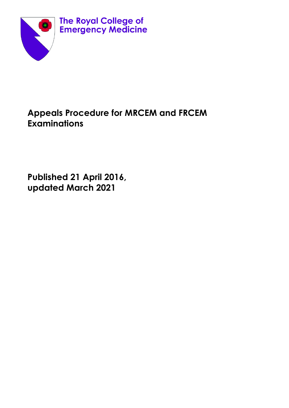

# **Appeals Procedure for MRCEM and FRCEM Examinations**

**Published 21 April 2016, updated March 2021**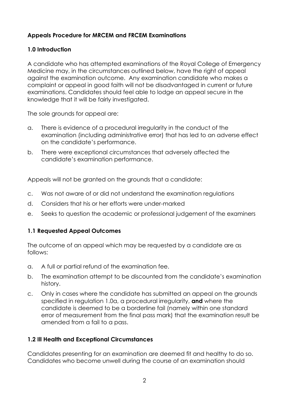### **Appeals Procedure for MRCEM and FRCEM Examinations**

#### **1.0 Introduction**

A candidate who has attempted examinations of the Royal College of Emergency Medicine may, in the circumstances outlined below, have the right of appeal against the examination outcome. Any examination candidate who makes a complaint or appeal in good faith will not be disadvantaged in current or future examinations. Candidates should feel able to lodge an appeal secure in the knowledge that it will be fairly investigated.

The sole grounds for appeal are:

- a. There is evidence of a procedural irregularity in the conduct of the examination (including administrative error) that has led to an adverse effect on the candidate's performance.
- b. There were exceptional circumstances that adversely affected the candidate's examination performance.

Appeals will not be granted on the grounds that a candidate:

- c. Was not aware of or did not understand the examination regulations
- d. Considers that his or her efforts were under-marked
- e. Seeks to question the academic or professional judgement of the examiners

#### **1.1 Requested Appeal Outcomes**

The outcome of an appeal which may be requested by a candidate are as follows:

- a. A full or partial refund of the examination fee.
- b. The examination attempt to be discounted from the candidate's examination history.
- c. Only in cases where the candidate has submitted an appeal on the grounds specified in regulation 1.0a, a procedural irregularity, **and** where the candidate is deemed to be a borderline fail (namely within one standard error of measurement from the final pass mark) that the examination result be amended from a fail to a pass.

## **1.2 Ill Health and Exceptional Circumstances**

Candidates presenting for an examination are deemed fit and healthy to do so. Candidates who become unwell during the course of an examination should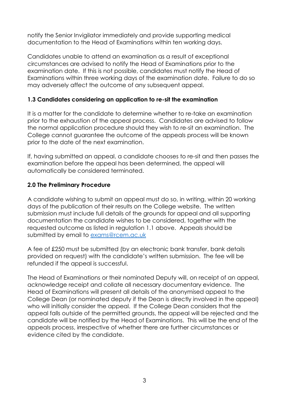notify the Senior Invigilator immediately and provide supporting medical documentation to the Head of Examinations within ten working days.

Candidates unable to attend an examination as a result of exceptional circumstances are advised to notify the Head of Examinations prior to the examination date. If this is not possible, candidates must notify the Head of Examinations within three working days of the examination date. Failure to do so may adversely affect the outcome of any subsequent appeal.

#### **1.3 Candidates considering an application to re-sit the examination**

It is a matter for the candidate to determine whether to re-take an examination prior to the exhaustion of the appeal process. Candidates are advised to follow the normal application procedure should they wish to re-sit an examination. The College cannot guarantee the outcome of the appeals process will be known prior to the date of the next examination.

If, having submitted an appeal, a candidate chooses to re-sit and then passes the examination before the appeal has been determined, the appeal will automatically be considered terminated.

#### **2.0 The Preliminary Procedure**

A candidate wishing to submit an appeal must do so, in writing, within 20 working days of the publication of their results on the College website. The written submission must include full details of the grounds for appeal and all supporting documentation the candidate wishes to be considered, together with the requested outcome as listed in regulation 1.1 above. Appeals should be submitted by email to [exams@rcem.ac.uk](mailto:exams@rcem.ac.uk)

A fee of £250 must be submitted (by an electronic bank transfer, bank details provided on request) with the candidate's written submission. The fee will be refunded if the appeal is successful.

The Head of Examinations or their nominated Deputy will, on receipt of an appeal, acknowledge receipt and collate all necessary documentary evidence. The Head of Examinations will present all details of the anonymised appeal to the College Dean (or nominated deputy if the Dean is directly involved in the appeal) who will initially consider the appeal. If the College Dean considers that the appeal falls outside of the permitted grounds, the appeal will be rejected and the candidate will be notified by the Head of Examinations. This will be the end of the appeals process, irrespective of whether there are further circumstances or evidence cited by the candidate.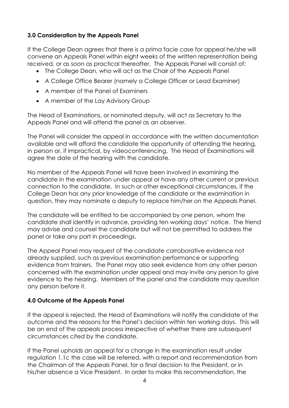#### **3.0 Consideration by the Appeals Panel**

If the College Dean agrees that there is a prima facie case for appeal he/she will convene an Appeals Panel within eight weeks of the written representation being received, or as soon as practical thereafter. The Appeals Panel will consist of:

- The College Dean, who will act as the Chair of the Appeals Panel
- A College Office Bearer (namely a College Officer or Lead Examiner)
- A member of the Panel of Examiners
- A member of the Lay Advisory Group

The Head of Examinations, or nominated deputy, will act as Secretary to the Appeals Panel and will attend the panel as an observer.

The Panel will consider the appeal in accordance with the written documentation available and will afford the candidate the opportunity of attending the hearing, in person or, if impractical, by videoconferencing. The Head of Examinations will agree the date of the hearing with the candidate.

No member of the Appeals Panel will have been involved in examining the candidate in the examination under appeal or have any other current or previous connection to the candidate. In such or other exceptional circumstances, if the College Dean has any prior knowledge of the candidate or the examination in question, they may nominate a deputy to replace him/her on the Appeals Panel.

The candidate will be entitled to be accompanied by one person, whom the candidate shall identify in advance, providing ten working days' notice. The friend may advise and counsel the candidate but will not be permitted to address the panel or take any part in proceedings.

The Appeal Panel may request of the candidate corroborative evidence not already supplied, such as previous examination performance or supporting evidence from trainers. The Panel may also seek evidence from any other person concerned with the examination under appeal and may invite any person to give evidence to the hearing. Members of the panel and the candidate may question any person before it.

## **4.0 Outcome of the Appeals Panel**

If the appeal is rejected, the Head of Examinations will notify the candidate of the outcome and the reasons for the Panel's decision within ten working days. This will be an end of the appeals process irrespective of whether there are subsequent circumstances cited by the candidate.

If the Panel upholds an appeal for a change in the examination result under regulation 1.1c the case will be referred, with a report and recommendation from the Chairman of the Appeals Panel, for a final decision to the President, or in his/her absence a Vice President. In order to make this recommendation, the